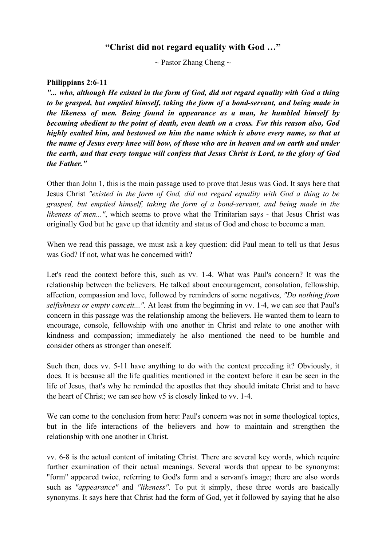## **"Christ did not regard equality with God …"**

 $\sim$  Pastor Zhang Cheng  $\sim$ 

### **Philippians 2:6-11**

*"... who, although He existed in the form of God, did not regard equality with God a thing to be grasped, but emptied himself, taking the form of a bond-servant, and being made in the likeness of men. Being found in appearance as a man, he humbled himself by becoming obedient to the point of death, even death on a cross. For this reason also, God highly exalted him, and bestowed on him the name which is above every name, so that at the name of Jesus every knee will bow, of those who are in heaven and on earth and under the earth, and that every tongue will confess that Jesus Christ is Lord, to the glory of God the Father."*

Other than John 1, this is the main passage used to prove that Jesus was God. It says here that Jesus Christ *"existed in the form of God, did not regard equality with God a thing to be grasped, but emptied himself, taking the form of a bond-servant, and being made in the likeness of men..."*, which seems to prove what the Trinitarian says - that Jesus Christ was originally God but he gave up that identity and status of God and chose to become a man.

When we read this passage, we must ask a key question: did Paul mean to tell us that Jesus was God? If not, what was he concerned with?

Let's read the context before this, such as vv. 1-4. What was Paul's concern? It was the relationship between the believers. He talked about encouragement, consolation, fellowship, affection, compassion and love, followed by reminders of some negatives, *"Do nothing from selfishness or empty conceit..."*. At least from the beginning in vv. 1-4, we can see that Paul's concern in this passage was the relationship among the believers. He wanted them to learn to encourage, console, fellowship with one another in Christ and relate to one another with kindness and compassion; immediately he also mentioned the need to be humble and consider others as stronger than oneself.

Such then, does vv. 5-11 have anything to do with the context preceding it? Obviously, it does. It is because all the life qualities mentioned in the context before it can be seen in the life of Jesus, that's why he reminded the apostles that they should imitate Christ and to have the heart of Christ; we can see how v5 is closely linked to vv. 1-4.

We can come to the conclusion from here: Paul's concern was not in some theological topics, but in the life interactions of the believers and how to maintain and strengthen the relationship with one another in Christ.

vv. 6-8 is the actual content of imitating Christ. There are several key words, which require further examination of their actual meanings. Several words that appear to be synonyms: "form" appeared twice, referring to God's form and a servant's image; there are also words such as *"appearance"* and *"likeness"*. To put it simply, these three words are basically synonyms. It says here that Christ had the form of God, yet it followed by saying that he also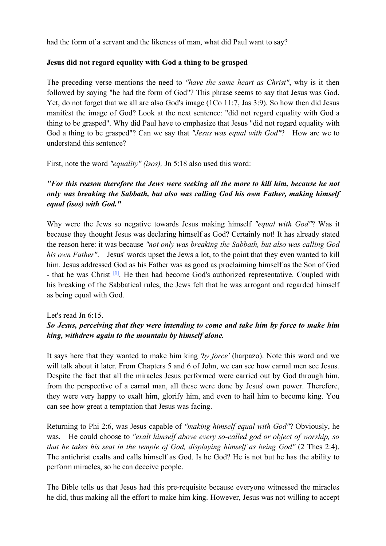had the form of a servant and the likeness of man, what did Paul want to say?

### **Jesus did not regard equality with God a thing to be grasped**

The preceding verse mentions the need to *"have the same heart as Christ"*, why is it then followed by saying "he had the form of God"? This phrase seems to say that Jesus was God. Yet, do not forget that we all are also God's image (1Co 11:7, Jas 3:9). So how then did Jesus manifest the image of God? Look at the next sentence: "did not regard equality with God a thing to be grasped". Why did Paul have to emphasize that Jesus "did not regard equality with God a thing to be grasped"? Can we say that *"Jesus was equal with God"*? How are we to understand this sentence?

First, note the word *"equality" (isos),* Jn 5:18 also used this word:

# *"For this reason therefore the Jews were seeking all the more to kill him, because he not only was breaking the Sabbath, but also was calling God his own Father, making himself equal (isos) with God."*

Why were the Jews so negative towards Jesus making himself *"equal with God"*? Was it because they thought Jesus was declaring himself as God? Certainly not! It has already stated the reason here: it was because *"not only was breaking the Sabbath, but also was calling God his own Father"*. Jesus' words upset the Jews a lot, to the point that they even wanted to kill him. Jesus addressed God as his Father was as good as proclaiming himself as the Son of God - that he was Christ **[1]**. He then had become God's authorized representative. Coupled with his breaking of the Sabbatical rules, the Jews felt that he was arrogant and regarded himself as being equal with God.

#### Let's read Jn 6:15.

## *So Jesus, perceiving that they were intending to come and take him by force to make him king, withdrew again to the mountain by himself alone.*

It says here that they wanted to make him king *'by force'* (harpazo). Note this word and we will talk about it later. From Chapters 5 and 6 of John, we can see how carnal men see Jesus. Despite the fact that all the miracles Jesus performed were carried out by God through him, from the perspective of a carnal man, all these were done by Jesus' own power. Therefore, they were very happy to exalt him, glorify him, and even to hail him to become king. You can see how great a temptation that Jesus was facing.

Returning to Phi 2:6, was Jesus capable of *"making himself equal with God"*? Obviously, he was. He could choose to *"exalt himself above every so-called god or object of worship, so that he takes his seat in the temple of God, displaying himself as being God"* (2 Thes 2:4). The antichrist exalts and calls himself as God. Is he God? He is not but he has the ability to perform miracles, so he can deceive people.

The Bible tells us that Jesus had this pre-requisite because everyone witnessed the miracles he did, thus making all the effort to make him king. However, Jesus was not willing to accept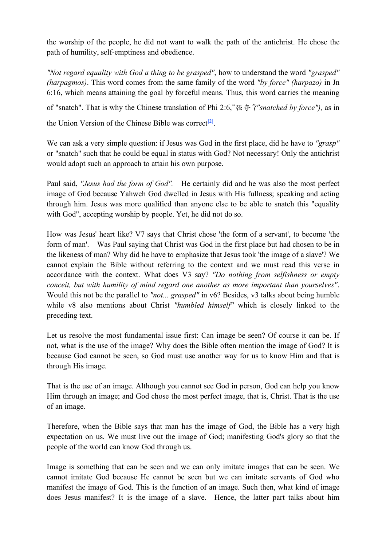the worship of the people, he did not want to walk the path of the antichrist. He chose the path of humility, self-emptiness and obedience.

*"Not regard equality with God a thing to be grasped"*, how to understand the word *"grasped" (harpagmos)*. This word comes from the same family of the word *"by force" (harpazo)* in Jn 6:16, which means attaining the goal by forceful means. Thus, this word carries the meaning of "snatch". That is why the Chinese translation of Phi 2:6,"强夺"*("snatched by force"),* as in the Union Version of the Chinese Bible was correct**[2]**.

We can ask a very simple question: if Jesus was God in the first place, did he have to *"grasp"* or "snatch" such that he could be equal in status with God? Not necessary! Only the antichrist would adopt such an approach to attain his own purpose.

Paul said, *"Jesus had the form of God".* He certainly did and he was also the most perfect image of God because Yahweh God dwelled in Jesus with His fullness; speaking and acting through him. Jesus was more qualified than anyone else to be able to snatch this "equality with God", accepting worship by people. Yet, he did not do so.

How was Jesus' heart like? V7 says that Christ chose 'the form of a servant', to become 'the form of man'. Was Paul saying that Christ was God in the first place but had chosen to be in the likeness of man? Why did he have to emphasize that Jesus took 'the image of a slave'? We cannot explain the Bible without referring to the context and we must read this verse in accordance with the context. What does V3 say? *"Do nothing from selfishness or empty conceit, but with humility of mind regard one another as more important than yourselves"*. Would this not be the parallel to *"not... grasped"* in v6? Besides, v3 talks about being humble while v8 also mentions about Christ *"humbled himself"* which is closely linked to the preceding text.

Let us resolve the most fundamental issue first: Can image be seen? Of course it can be. If not, what is the use of the image? Why does the Bible often mention the image of God? It is because God cannot be seen, so God must use another way for us to know Him and that is through His image.

That is the use of an image. Although you cannot see God in person, God can help you know Him through an image; and God chose the most perfect image, that is, Christ. That is the use of an image.

Therefore, when the Bible says that man has the image of God, the Bible has a very high expectation on us. We must live out the image of God; manifesting God's glory so that the people of the world can know God through us.

Image is something that can be seen and we can only imitate images that can be seen. We cannot imitate God because He cannot be seen but we can imitate servants of God who manifest the image of God. This is the function of an image. Such then, what kind of image does Jesus manifest? It is the image of a slave. Hence, the latter part talks about him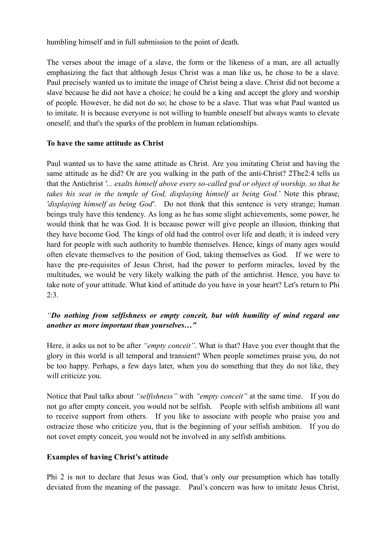humbling himself and in full submission to the point of death.

The verses about the image of a slave, the form or the likeness of a man, are all actually emphasizing the fact that although Jesus Christ was a man like us, he chose to be a slave. Paul precisely wanted us to imitate the image of Christ being a slave. Christ did not become a slave because he did not have a choice; he could be a king and accept the glory and worship of people. However, he did not do so; he chose to be a slave. That was what Paul wanted us to imitate. It is because everyone is not willing to humble oneself but always wants to elevate oneself; and that's the sparks of the problem in human relationships.

### **To have the same attitude as Christ**

Paul wanted us to have the same attitude as Christ. Are you imitating Christ and having the same attitude as he did? Or are you walking in the path of the anti-Christ? 2The2:4 tells us that the Antichrist *'... exalts himself above every so-called god or object of worship, so that he takes his seat in the temple of God, displaying himself as being God.*' Note this phrase, *'displaying himself as being God'*. Do not think that this sentence is very strange; human beings truly have this tendency. As long as he has some slight achievements, some power, he would think that he was God. It is because power will give people an illusion, thinking that they have become God. The kings of old had the control over life and death; it is indeed very hard for people with such authority to humble themselves. Hence, kings of many ages would often elevate themselves to the position of God, taking themselves as God. If we were to have the pre-requisites of Jesus Christ, had the power to perform miracles, loved by the multitudes, we would be very likely walking the path of the antichrist. Hence, you have to take note of your attitude. What kind of attitude do you have in your heart? Let's return to Phi  $2:3.$ 

## *"Do nothing from selfishness or empty conceit, but with humility of mind regard one another as more important than yourselves…"*

Here, it asks us not to be after *"empty conceit"*. What is that? Have you ever thought that the glory in this world is all temporal and transient? When people sometimes praise you, do not be too happy. Perhaps, a few days later, when you do something that they do not like, they will criticize you.

Notice that Paul talks about *"selfishness"* with *"empty conceit"* at the same time. If you do not go after empty conceit, you would not be selfish. People with selfish ambitions all want to receive support from others. If you like to associate with people who praise you and ostracize those who criticize you, that is the beginning of your selfish ambition. If you do not covet empty conceit, you would not be involved in any selfish ambitions.

#### **Examples of having Christ's attitude**

Phi 2 is not to declare that Jesus was God, that's only our presumption which has totally deviated from the meaning of the passage. Paul's concern was how to imitate Jesus Christ,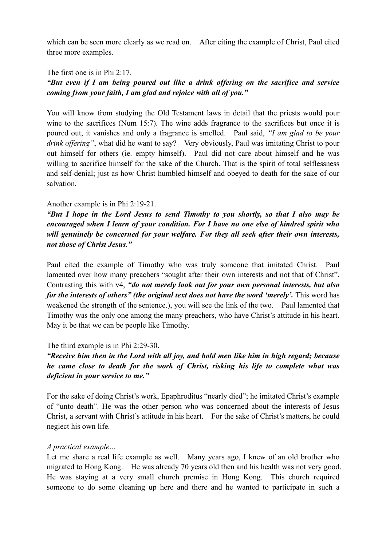which can be seen more clearly as we read on. After citing the example of Christ, Paul cited three more examples.

The first one is in Phi 2:17.

## *"But even if I am being poured out like a drink offering on the sacrifice and service coming from your faith, I am glad and rejoice with all of you."*

You will know from studying the Old Testament laws in detail that the priests would pour wine to the sacrifices (Num 15:7). The wine adds fragrance to the sacrifices but once it is poured out, it vanishes and only a fragrance is smelled. Paul said, *"I am glad to be your drink offering"*, what did he want to say? Very obviously, Paul was imitating Christ to pour out himself for others (ie. empty himself). Paul did not care about himself and he was willing to sacrifice himself for the sake of the Church. That is the spirit of total selflessness and self-denial; just as how Christ humbled himself and obeyed to death for the sake of our salvation.

### Another example is in Phi 2:19-21.

*"But I hope in the Lord Jesus to send Timothy to you shortly, so that I also may be encouraged when I learn of your condition. For I have no one else of kindred spirit who will genuinely be concerned for your welfare. For they all seek after their own interests, not those of Christ Jesus."*

Paul cited the example of Timothy who was truly someone that imitated Christ. Paul lamented over how many preachers "sought after their own interests and not that of Christ". Contrasting this with v4, *"do not merely look out for your own personal interests, but also for the interests of others" (the original text does not have the word 'merely'.* This word has weakened the strength of the sentence.), you will see the link of the two. Paul lamented that Timothy was the only one among the many preachers, who have Christ's attitude in his heart. May it be that we can be people like Timothy.

### The third example is in Phi 2:29-30.

## *"Receive him then in the Lord with all joy, and hold men like him in high regard; because he came close to death for the work of Christ, risking his life to complete what was deficient in your service to me."*

For the sake of doing Christ's work, Epaphroditus "nearly died"; he imitated Christ's example of "unto death". He was the other person who was concerned about the interests of Jesus Christ, a servant with Christ's attitude in his heart. For the sake of Christ's matters, he could neglect his own life.

### *A practical example…*

Let me share a real life example as well. Many years ago, I knew of an old brother who migrated to Hong Kong. He was already 70 years old then and his health was not very good. He was staying at a very small church premise in Hong Kong. This church required someone to do some cleaning up here and there and he wanted to participate in such a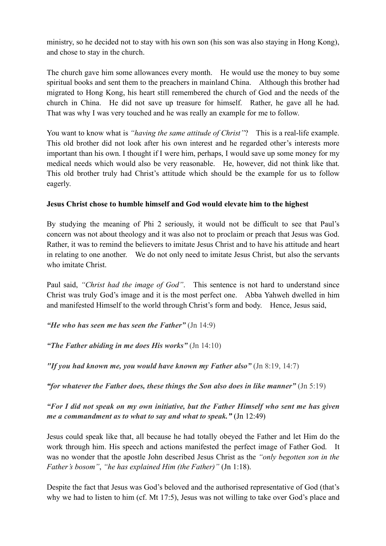ministry, so he decided not to stay with his own son (his son was also staying in Hong Kong), and chose to stay in the church.

The church gave him some allowances every month. He would use the money to buy some spiritual books and sent them to the preachers in mainland China. Although this brother had migrated to Hong Kong, his heart still remembered the church of God and the needs of the church in China. He did not save up treasure for himself. Rather, he gave all he had. That was why I was very touched and he was really an example for me to follow.

You want to know what is *"having the same attitude of Christ"*? This is a real-life example. This old brother did not look after his own interest and he regarded other's interests more important than his own. I thought if I were him, perhaps, I would save up some money for my medical needs which would also be very reasonable. He, however, did not think like that. This old brother truly had Christ's attitude which should be the example for us to follow eagerly.

## **Jesus Christ chose to humble himself and God would elevate him to the highest**

By studying the meaning of Phi 2 seriously, it would not be difficult to see that Paul's concern was not about theology and it was also not to proclaim or preach that Jesus was God. Rather, it was to remind the believers to imitate Jesus Christ and to have his attitude and heart in relating to one another. We do not only need to imitate Jesus Christ, but also the servants who imitate Christ.

Paul said, *"Christ had the image of God"*. This sentence is not hard to understand since Christ was truly God's image and it is the most perfect one. Abba Yahweh dwelled in him and manifested Himself to the world through Christ's form and body. Hence, Jesus said,

*"He who has seen me has seen the Father"* (Jn 14:9)

*"The Father abiding in me does His works"* (Jn 14:10)

*"If you had known me, you would have known my Father also"* (Jn 8:19, 14:7)

*"for whatever the Father does, these things the Son also does in like manner"* (Jn 5:19)

*"For I did not speak on my own initiative, but the Father Himself who sent me has given me a commandment as to what to say and what to speak."* (Jn 12:49)

Jesus could speak like that, all because he had totally obeyed the Father and let Him do the work through him. His speech and actions manifested the perfect image of Father God. It was no wonder that the apostle John described Jesus Christ as the *"only begotten son in the Father's bosom"*, *"he has explained Him (the Father)"* (Jn 1:18).

Despite the fact that Jesus was God's beloved and the authorised representative of God (that's why we had to listen to him (cf. Mt 17:5), Jesus was not willing to take over God's place and